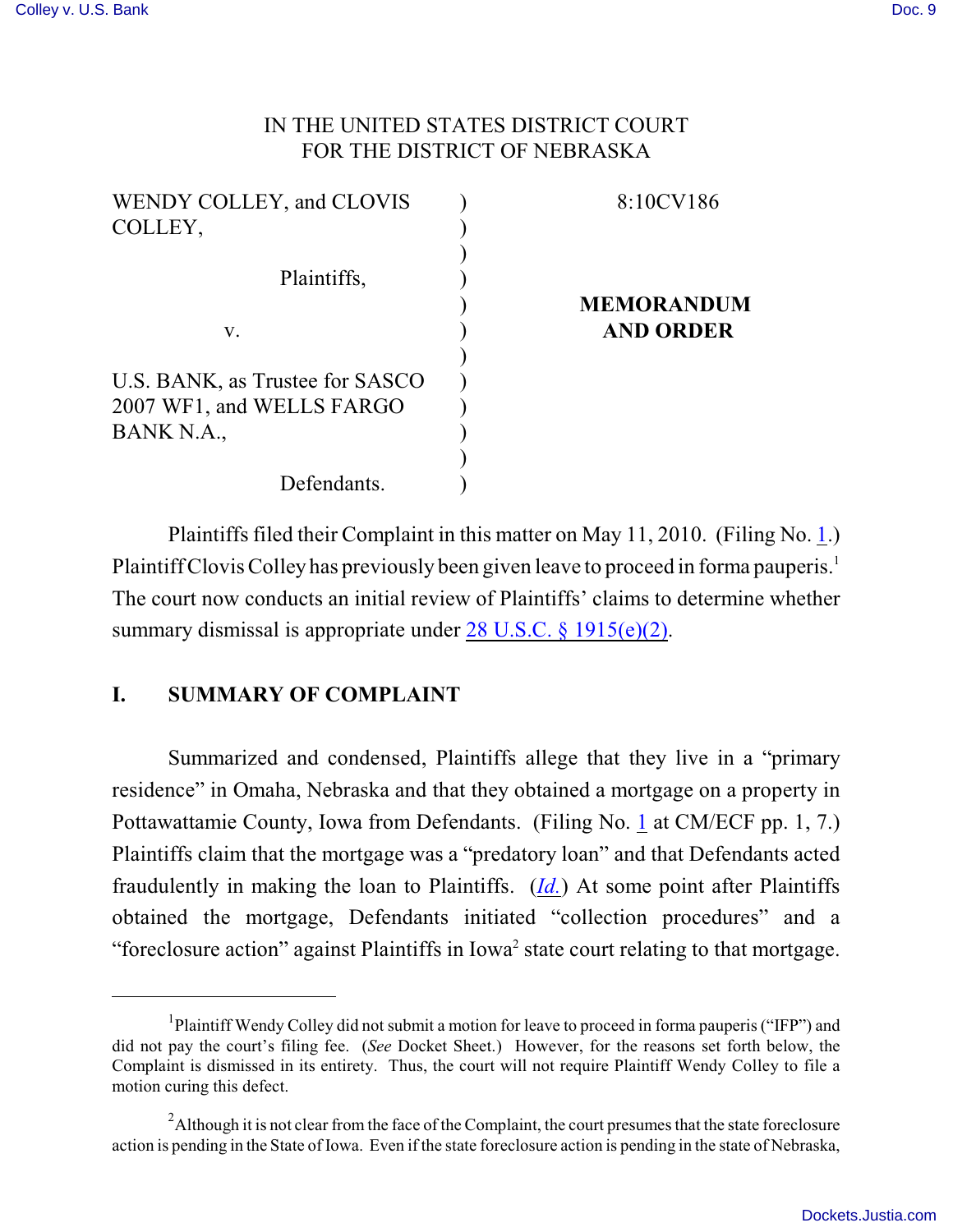#### IN THE UNITED STATES DISTRICT COURT FOR THE DISTRICT OF NEBRASKA

| 8:10CV186         |
|-------------------|
|                   |
|                   |
|                   |
| <b>MEMORANDUM</b> |
| <b>AND ORDER</b>  |
|                   |
|                   |
|                   |
|                   |
|                   |
|                   |
|                   |

Plaintiffs filed their Complaint in this matter on May 11, 2010. (Filing No. [1](http://ecf.ned.uscourts.gov/doc1/11302015140).) Plaintiff Clovis Colley has previously been given leave to proceed in forma pauperis.<sup>1</sup> The court now conducts an initial review of Plaintiffs' claims to determine whether summary dismissal is appropriate under  $28 \text{ U.S.C.}$  § 1915(e)(2).

## **I. SUMMARY OF COMPLAINT**

Summarized and condensed, Plaintiffs allege that they live in a "primary residence" in Omaha, Nebraska and that they obtained a mortgage on a property in Pottawattamie County, Iowa from Defendants. (Filing No. [1](http://ecf.ned.uscourts.gov/doc1/11302015140) at CM/ECF pp. 1, 7.) Plaintiffs claim that the mortgage was a "predatory loan" and that Defendants acted fraudulently in making the loan to Plaintiffs. (*[Id.](https://ecf.ned.uscourts.gov/doc1/11312015140)*) At some point after Plaintiffs obtained the mortgage, Defendants initiated "collection procedures" and a "foreclosure action" against Plaintiffs in Iowa<sup>2</sup> state court relating to that mortgage.

<sup>&</sup>lt;sup>1</sup>Plaintiff Wendy Colley did not submit a motion for leave to proceed in forma pauperis ("IFP") and did not pay the court's filing fee. (*See* Docket Sheet.) However, for the reasons set forth below, the Complaint is dismissed in its entirety. Thus, the court will not require Plaintiff Wendy Colley to file a motion curing this defect.

 $^2$ Although it is not clear from the face of the Complaint, the court presumes that the state foreclosure action is pending in the State of Iowa. Even if the state foreclosure action is pending in the state of Nebraska,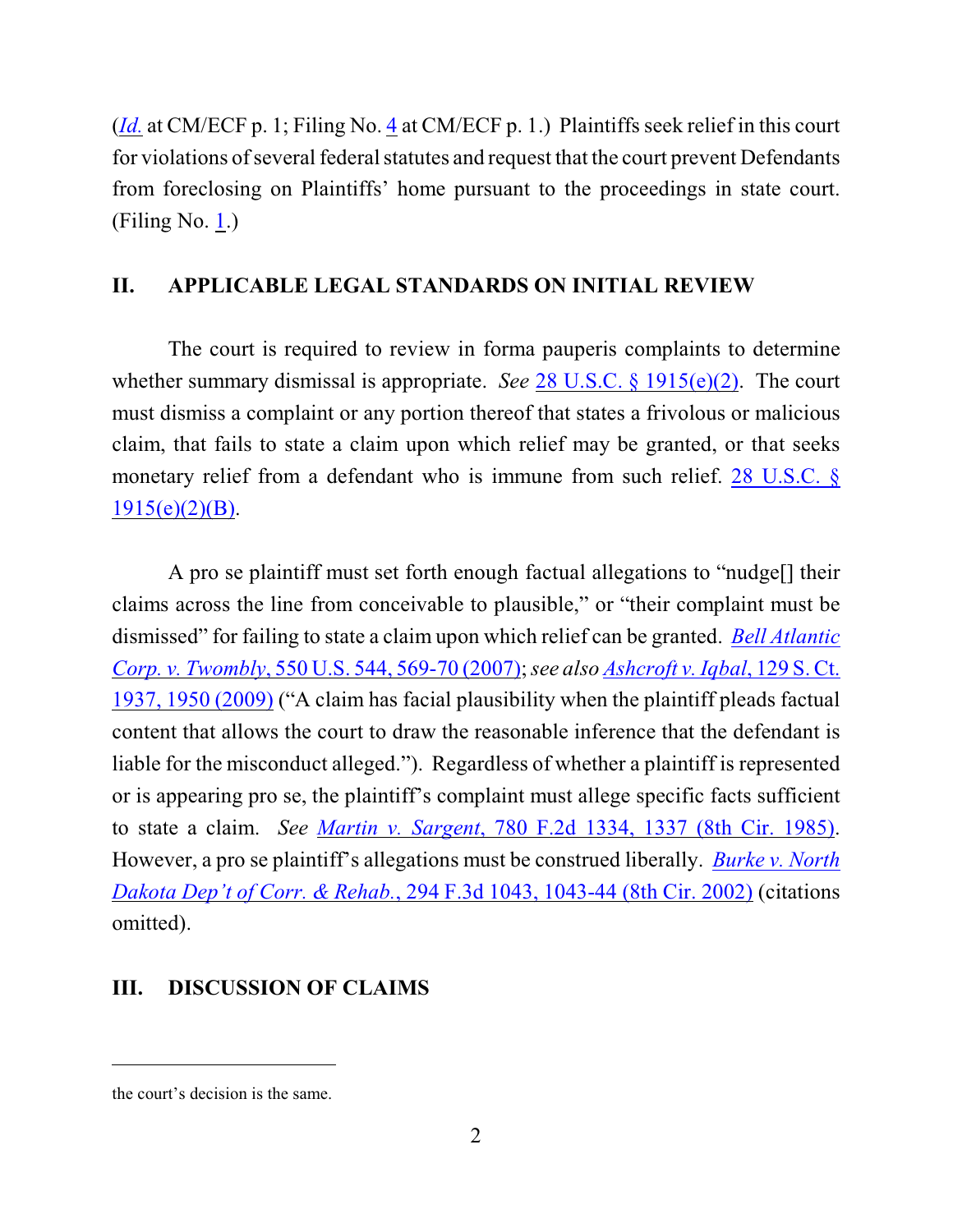(*[Id.](https://ecf.ned.uscourts.gov/doc1/11312015140)* at CM/ECF p. 1; Filing No. [4](http://ecf.ned.uscourts.gov/doc1/11302015155) at CM/ECF p. 1.) Plaintiffs seek relief in this court for violations of several federal statutes and request that the court prevent Defendants from foreclosing on Plaintiffs' home pursuant to the proceedings in state court. (Filing No. [1](http://ecf.ned.uscourts.gov/doc1/11302015140).)

# **II. APPLICABLE LEGAL STANDARDS ON INITIAL REVIEW**

The court is required to review in forma pauperis complaints to determine whether summary dismissal is appropriate. *See* 28 [U.S.C. § 1915\(e\)\(2\)](http://www.westlaw.com/find/default.wl?rs=CLWP3.0&vr=2.0&cite=28+USCA+ss+1915%28e%29). The court must dismiss a complaint or any portion thereof that states a frivolous or malicious claim, that fails to state a claim upon which relief may be granted, or that seeks monetary relief from a defendant who is immune from such relief. [28 U.S.C. §](http://www.westlaw.com/find/default.wl?rs=CLWP3.0&vr=2.0&cite=28+USCA+s+1915%28e%29%282%29%28B%29)  $1915(e)(2)(B)$ .

A pro se plaintiff must set forth enough factual allegations to "nudge[] their claims across the line from conceivable to plausible," or "their complaint must be dismissed" for failing to state a claim upon which relief can be granted. *[Bell Atlantic](http://web2.westlaw.com/find/default.wl?fn=_top&rs=WLW9.08&rp=%2ffind%2fdefault.wl&ifm=NotSet&vr=2.0&sv=Split&cite=550+us+569) Corp. v. Twombly*[, 550 U.S. 544, 569-70 \(2007\)](http://web2.westlaw.com/find/default.wl?fn=_top&rs=WLW9.08&rp=%2ffind%2fdefault.wl&ifm=NotSet&vr=2.0&sv=Split&cite=550+us+569);*see also [Ashcroft v. Iqbal](http://web2.westlaw.com/find/default.wl?rs=WLW9.10&ifm=NotSet&fn=_top&sv=Split&cite=129+s+ct+1950&vr=2.0&rp=%2ffind%2fdefault.wl&pbc=074303F9)*, 129 S. Ct. [1937, 1950 \(2009\)](http://web2.westlaw.com/find/default.wl?rs=WLW9.10&ifm=NotSet&fn=_top&sv=Split&cite=129+s+ct+1950&vr=2.0&rp=%2ffind%2fdefault.wl&pbc=074303F9) ("A claim has facial plausibility when the plaintiff pleads factual content that allows the court to draw the reasonable inference that the defendant is liable for the misconduct alleged."). Regardless of whether a plaintiff is represented or is appearing pro se, the plaintiff's complaint must allege specific facts sufficient to state a claim. *See Martin v. Sargent*[, 780 F.2d 1334, 1337 \(8th Cir. 1985\)](http://www.westlaw.com/find/default.wl?rs=CLWP3.0&vr=2.0&cite=780+F.2d+1334). However, a pro se plaintiff's allegations must be construed liberally. *[Burke v. North](http://www.westlaw.com/find/default.wl?rs=CLWP3.0&vr=2.0&cite=294+F.3d+1043) Dakota Dep't of Corr. & Rehab.*, 294 [F.3d 1043, 1043-44 \(8th Cir. 2002\)](http://www.westlaw.com/find/default.wl?rs=CLWP3.0&vr=2.0&cite=294+F.3d+1043) (citations omitted).

## **III. DISCUSSION OF CLAIMS**

the court's decision is the same.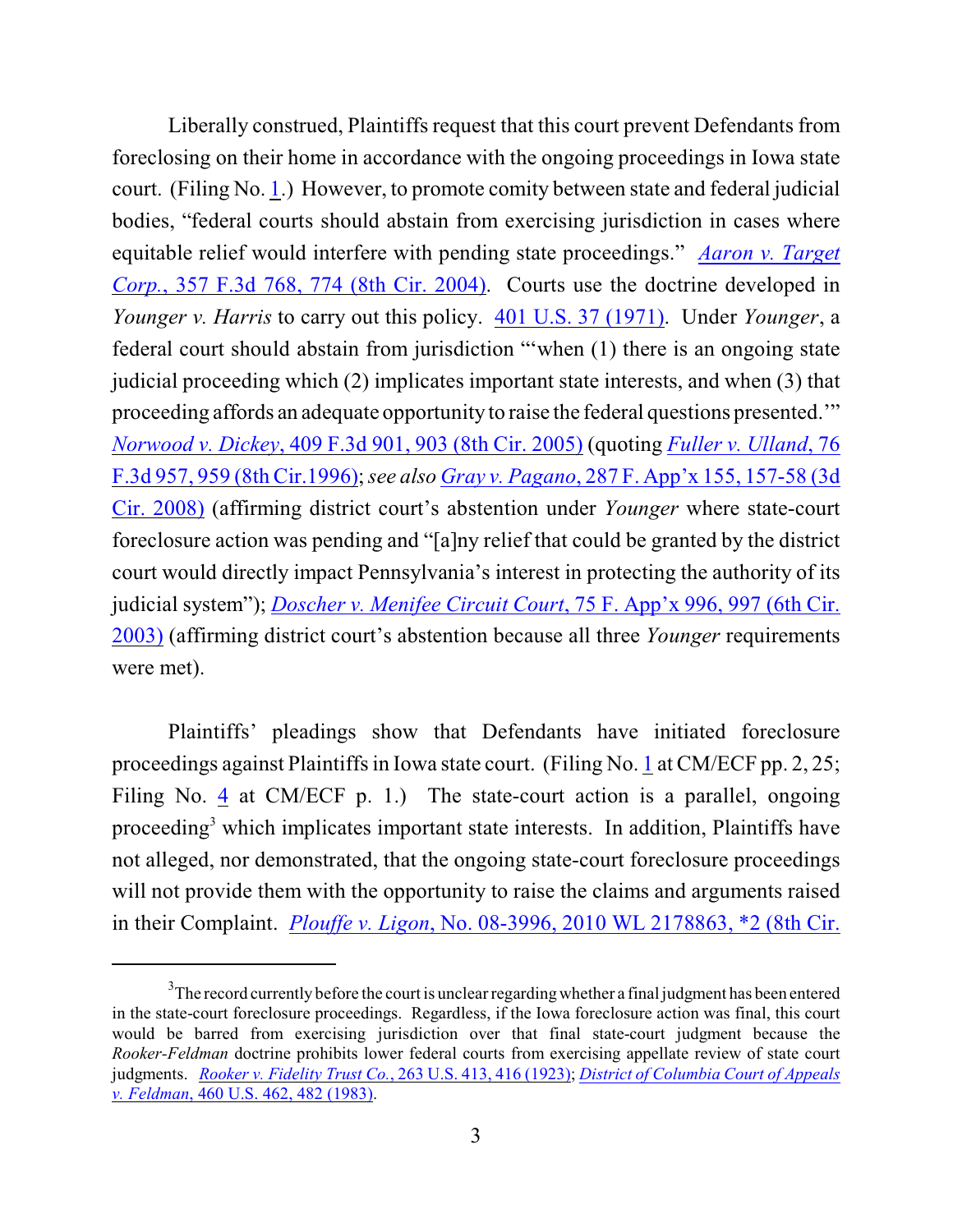Liberally construed, Plaintiffs request that this court prevent Defendants from foreclosing on their home in accordance with the ongoing proceedings in Iowa state court. (Filing No. [1](http://ecf.ned.uscourts.gov/doc1/11302015140).) However, to promote comity between state and federal judicial bodies, "federal courts should abstain from exercising jurisdiction in cases where equitable relief would interfere with pending state proceedings." *[Aaron v. Target](http://web2.westlaw.com/find/default.wl?fn=_top&rs=WLW8.09&rp=%2ffind%2fdefault.wl&mt=Westlaw&vr=2.0&sv=Split&cite=357+F.3d+774) Corp.*[, 357 F.3d 768, 774 \(8th Cir. 2004\)](http://web2.westlaw.com/find/default.wl?fn=_top&rs=WLW8.09&rp=%2ffind%2fdefault.wl&mt=Westlaw&vr=2.0&sv=Split&cite=357+F.3d+774). Courts use the doctrine developed in *Younger v. Harris* to carry out this policy. [401 U.S. 37 \(1971\)](http://web2.westlaw.com/find/default.wl?fn=_top&rs=WLW8.09&rp=%2ffind%2fdefault.wl&mt=Westlaw&vr=2.0&sv=Split&cite=401+U.S.+37). Under *Younger*, a federal court should abstain from jurisdiction "'when (1) there is an ongoing state judicial proceeding which (2) implicates important state interests, and when (3) that proceeding affords an adequate opportunity to raise the federal questions presented.'" *Norwood v. Dickey*[, 409 F.3d 901, 903 \(8th Cir. 2005\)](http://web2.westlaw.com/find/default.wl?fn=_top&rs=WLW8.09&rp=%2ffind%2fdefault.wl&mt=Westlaw&vr=2.0&sv=Split&cite=409+F.3d+901) (quoting *[Fuller v. Ulland](http://web2.westlaw.com/find/default.wl?fn=_top&rs=WLW8.09&rp=%2ffind%2fdefault.wl&mt=Westlaw&vr=2.0&sv=Split&cite=76+F.3d+957)*, 76 [F.3d 957, 959 \(8th Cir.1996\)](http://web2.westlaw.com/find/default.wl?fn=_top&rs=WLW8.09&rp=%2ffind%2fdefault.wl&mt=Westlaw&vr=2.0&sv=Split&cite=76+F.3d+957);*see also Gray v. Pagano*, 287 F. [App'x 155, 157-58 \(3d](http://web2.westlaw.com/find/default.wl?rs=WLW10.05&ifm=NotSet&fn=_top&sv=Split&cite=287+f+appx+157&vr=2.0&rp=%2ffind%2fdefault.wl&mt=Westlaw) [Cir. 2008\)](http://web2.westlaw.com/find/default.wl?rs=WLW10.05&ifm=NotSet&fn=_top&sv=Split&cite=287+f+appx+157&vr=2.0&rp=%2ffind%2fdefault.wl&mt=Westlaw) (affirming district court's abstention under *Younger* where state-court foreclosure action was pending and "[a]ny relief that could be granted by the district court would directly impact Pennsylvania's interest in protecting the authority of its judicial system"); *[Doscher v. Menifee Circuit Court](http://web2.westlaw.com/find/default.wl?rs=WLW10.05&ifm=NotSet&fn=_top&sv=Split&cite=75+f+appx+997&vr=2.0&rp=%2ffind%2fdefault.wl&mt=Westlaw)*, 75 F. App'x 996, 997 (6th Cir. [2003\)](http://web2.westlaw.com/find/default.wl?rs=WLW10.05&ifm=NotSet&fn=_top&sv=Split&cite=75+f+appx+997&vr=2.0&rp=%2ffind%2fdefault.wl&mt=Westlaw) (affirming district court's abstention because all three *Younger* requirements were met).

Plaintiffs' pleadings show that Defendants have initiated foreclosure proceedings against Plaintiffs in Iowa state court. (Filing No.  $1$  at CM/ECF pp. 2, 25; Filing No. [4](http://ecf.ned.uscourts.gov/doc1/11302015155) at CM/ECF p. 1.) The state-court action is a parallel, ongoing proceeding<sup>3</sup> which implicates important state interests. In addition, Plaintiffs have not alleged, nor demonstrated, that the ongoing state-court foreclosure proceedings will not provide them with the opportunity to raise the claims and arguments raised in their Complaint. *Plouffe v. Ligon*[, No. 08-3996, 2010 WL 2178863, \\*2 \(8th Cir.](http://web2.westlaw.com/find/default.wl?rs=WLW10.05&ifm=NotSet&fn=_top&sv=Split&cite=2010+wl+2178863&vr=2.0&rp=%2ffind%2fdefault.wl&mt=Westlaw)

 $3$ The record currently before the court is unclear regarding whether a final judgment has been entered in the state-court foreclosure proceedings. Regardless, if the Iowa foreclosure action was final, this court would be barred from exercising jurisdiction over that final state-court judgment because the *Rooker-Feldman* doctrine prohibits lower federal courts from exercising appellate review of state court judgments. *[Rooker v. Fidelity Trust Co.](http://web2.westlaw.com/find/default.wl?rs=CLWP3.0&vr=2.0&cite=263+U.S.+413&ssl=n)*, 263 U.S. 413, 416 (1923); *[District of Columbia](http://web2.westlaw.com/find/default.wl?rs=CLWP3.0&vr=2.0&cite=460+U.S.+462&ssl=n) Court of Appeals v. Feldman*[, 460 U.S. 462, 482 \(1983\)](http://web2.westlaw.com/find/default.wl?rs=CLWP3.0&vr=2.0&cite=460+U.S.+462&ssl=n).